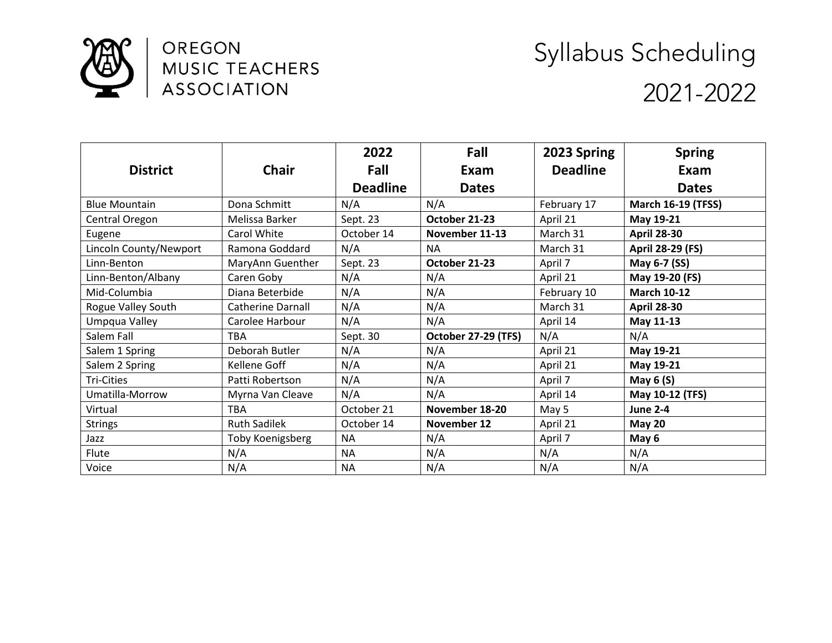

OREGON MUSIC TEACHERS **ASSOCIATION** 

## Syllabus Scheduling 2021-2022

|                        |                          | 2022            | Fall                | 2023 Spring     | <b>Spring</b><br>Exam     |  |
|------------------------|--------------------------|-----------------|---------------------|-----------------|---------------------------|--|
| <b>District</b>        | <b>Chair</b>             | Fall            | Exam                | <b>Deadline</b> |                           |  |
|                        |                          | <b>Deadline</b> | <b>Dates</b>        |                 | <b>Dates</b>              |  |
| <b>Blue Mountain</b>   | Dona Schmitt             | N/A             | N/A                 | February 17     | <b>March 16-19 (TFSS)</b> |  |
| Central Oregon         | Melissa Barker           | Sept. 23        | October 21-23       | April 21        | May 19-21                 |  |
| Eugene                 | Carol White              | October 14      | November 11-13      | March 31        | <b>April 28-30</b>        |  |
| Lincoln County/Newport | Ramona Goddard           | N/A             | <b>NA</b>           | March 31        | April 28-29 (FS)          |  |
| Linn-Benton            | MaryAnn Guenther         | Sept. 23        | October 21-23       | April 7         | May 6-7 (SS)              |  |
| Linn-Benton/Albany     | Caren Goby               | N/A             | N/A                 | April 21        | May 19-20 (FS)            |  |
| Mid-Columbia           | Diana Beterbide          | N/A             | N/A                 | February 10     | <b>March 10-12</b>        |  |
| Rogue Valley South     | <b>Catherine Darnall</b> | N/A             | N/A                 | March 31        | <b>April 28-30</b>        |  |
| Umpqua Valley          | Carolee Harbour          | N/A             | N/A                 | April 14        | May 11-13                 |  |
| Salem Fall             | <b>TBA</b>               | Sept. 30        | October 27-29 (TFS) | N/A             | N/A                       |  |
| Salem 1 Spring         | Deborah Butler           | N/A             | N/A                 | April 21        | May 19-21                 |  |
| Salem 2 Spring         | Kellene Goff             | N/A             | N/A                 | April 21        | May 19-21                 |  |
| <b>Tri-Cities</b>      | Patti Robertson          | N/A             | N/A                 | April 7         | May $6(S)$                |  |
| Umatilla-Morrow        | Myrna Van Cleave         | N/A             | N/A                 | April 14        | May 10-12 (TFS)           |  |
| Virtual                | <b>TBA</b>               | October 21      | November 18-20      | May 5           | <b>June 2-4</b>           |  |
| <b>Strings</b>         | <b>Ruth Sadilek</b>      | October 14      | November 12         | April 21        | <b>May 20</b>             |  |
| Jazz                   | Toby Koenigsberg         | <b>NA</b>       | N/A                 | April 7         | May 6                     |  |
| Flute                  | N/A                      | <b>NA</b>       | N/A                 | N/A             | N/A                       |  |
| Voice                  | N/A                      | <b>NA</b>       | N/A                 | N/A             | N/A                       |  |